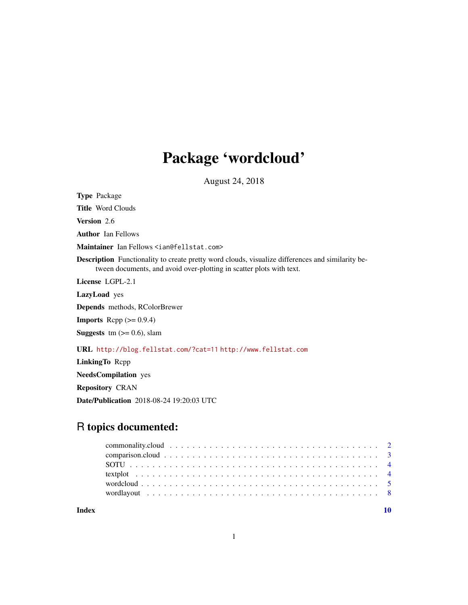## Package 'wordcloud'

August 24, 2018

<span id="page-0-0"></span>Type Package

Title Word Clouds Version 2.6

Author Ian Fellows

Maintainer Ian Fellows <ian@fellstat.com>

Description Functionality to create pretty word clouds, visualize differences and similarity between documents, and avoid over-plotting in scatter plots with text.

License LGPL-2.1

LazyLoad yes

Depends methods, RColorBrewer

**Imports** Rcpp  $(>= 0.9.4)$ 

**Suggests** tm  $(>= 0.6)$ , slam

URL <http://blog.fellstat.com/?cat=11> <http://www.fellstat.com>

LinkingTo Rcpp NeedsCompilation yes Repository CRAN Date/Publication 2018-08-24 19:20:03 UTC

## R topics documented:

 $\blacksquare$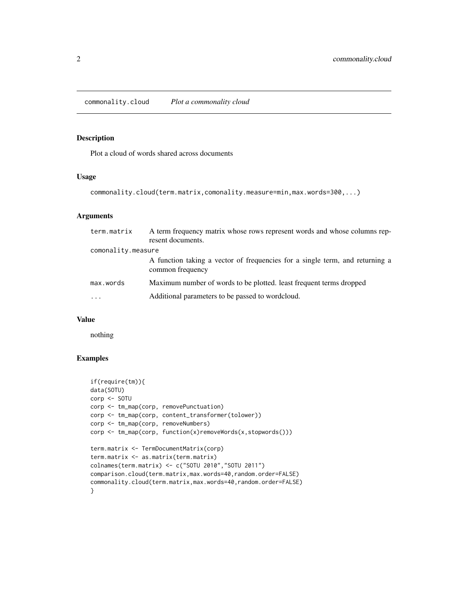#### <span id="page-1-0"></span>Description

Plot a cloud of words shared across documents

#### Usage

```
commonality.cloud(term.matrix,comonality.measure=min,max.words=300,...)
```
#### Arguments

| term.matrix        | A term frequency matrix whose rows represent words and whose columns rep-<br>resent documents.   |
|--------------------|--------------------------------------------------------------------------------------------------|
| comonality.measure |                                                                                                  |
|                    | A function taking a vector of frequencies for a single term, and returning a<br>common frequency |
| max.words          | Maximum number of words to be plotted. least frequent terms dropped                              |
| $\ddotsc$          | Additional parameters to be passed to wordcloud.                                                 |
|                    |                                                                                                  |

#### Value

nothing

#### Examples

```
if(require(tm)){
data(SOTU)
corp <- SOTU
corp <- tm_map(corp, removePunctuation)
corp <- tm_map(corp, content_transformer(tolower))
corp <- tm_map(corp, removeNumbers)
corp <- tm_map(corp, function(x)removeWords(x,stopwords()))
term.matrix <- TermDocumentMatrix(corp)
term.matrix <- as.matrix(term.matrix)
colnames(term.matrix) <- c("SOTU 2010","SOTU 2011")
comparison.cloud(term.matrix,max.words=40,random.order=FALSE)
commonality.cloud(term.matrix,max.words=40,random.order=FALSE)
}
```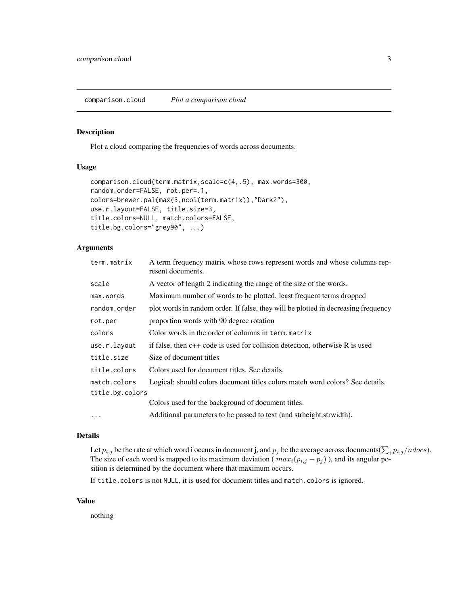#### <span id="page-2-0"></span>Description

Plot a cloud comparing the frequencies of words across documents.

#### Usage

```
comparison.cloud(term.matrix,scale=c(4,.5), max.words=300,
random.order=FALSE, rot.per=.1,
colors=brewer.pal(max(3,ncol(term.matrix)),"Dark2"),
use.r.layout=FALSE, title.size=3,
title.colors=NULL, match.colors=FALSE,
title.bg.colors="grey90", ...)
```
#### Arguments

| term.matrix     | A term frequency matrix whose rows represent words and whose columns rep-<br>resent documents. |  |
|-----------------|------------------------------------------------------------------------------------------------|--|
| scale           | A vector of length 2 indicating the range of the size of the words.                            |  |
| max.words       | Maximum number of words to be plotted. least frequent terms dropped                            |  |
| random.order    | plot words in random order. If false, they will be plotted in decreasing frequency             |  |
| rot.per         | proportion words with 90 degree rotation                                                       |  |
| colors          | Color words in the order of columns in term. matrix                                            |  |
| use.r.layout    | if false, then $c++$ code is used for collision detection, otherwise R is used                 |  |
| title.size      | Size of document titles                                                                        |  |
| title.colors    | Colors used for document titles. See details.                                                  |  |
| match.colors    | Logical: should colors document titles colors match word colors? See details.                  |  |
| title.bg.colors |                                                                                                |  |
|                 | Colors used for the background of document titles.                                             |  |
| $\cdots$        | Additional parameters to be passed to text (and strheight, strwidth).                          |  |

#### Details

Let  $p_{i,j}$  be the rate at which word i occurs in document j, and  $p_j$  be the average across documents( $\sum_i p_{i,j}/ndocs$ ). The size of each word is mapped to its maximum deviation ( $max_i(p_{i,j} - p_j)$ ), and its angular position is determined by the document where that maximum occurs.

If title.colors is not NULL, it is used for document titles and match.colors is ignored.

#### Value

nothing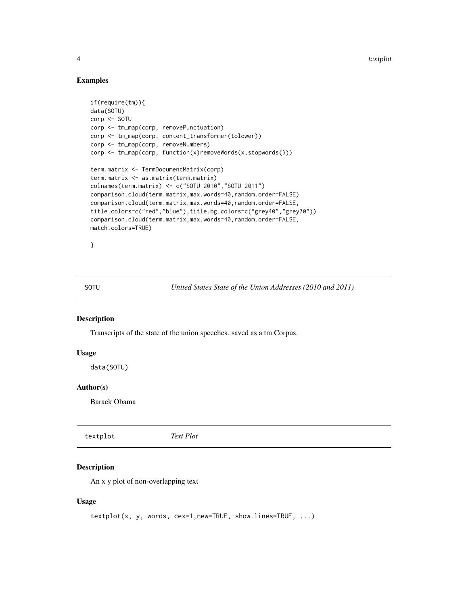4 textplot

#### Examples

```
if(require(tm)){
data(SOTU)
corp <- SOTU
corp <- tm_map(corp, removePunctuation)
corp <- tm_map(corp, content_transformer(tolower))
corp <- tm_map(corp, removeNumbers)
corp <- tm_map(corp, function(x)removeWords(x,stopwords()))
term.matrix <- TermDocumentMatrix(corp)
term.matrix <- as.matrix(term.matrix)
colnames(term.matrix) <- c("SOTU 2010","SOTU 2011")
comparison.cloud(term.matrix,max.words=40,random.order=FALSE)
comparison.cloud(term.matrix,max.words=40,random.order=FALSE,
title.colors=c("red","blue"),title.bg.colors=c("grey40","grey70"))
comparison.cloud(term.matrix,max.words=40,random.order=FALSE,
match.colors=TRUE)
```
}

SOTU *United States State of the Union Addresses (2010 and 2011)*

#### Description

Transcripts of the state of the union speeches. saved as a tm Corpus.

#### Usage

data(SOTU)

#### Author(s)

Barack Obama

textplot *Text Plot*

#### Description

An x y plot of non-overlapping text

#### Usage

```
textplot(x, y, words, cex=1,new=TRUE, show.lines=TRUE, ...)
```
<span id="page-3-0"></span>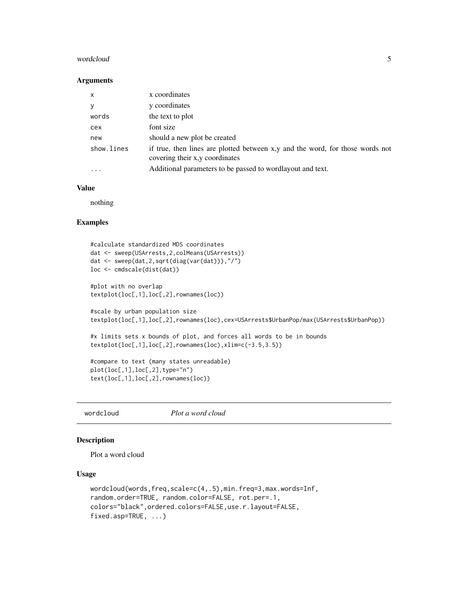#### <span id="page-4-0"></span>wordcloud 5

#### Arguments

| $\mathsf{x}$ | x coordinates                                                                                                   |
|--------------|-----------------------------------------------------------------------------------------------------------------|
| y            | y coordinates                                                                                                   |
| words        | the text to plot                                                                                                |
| cex          | font size                                                                                                       |
| new          | should a new plot be created                                                                                    |
| show.lines   | if true, then lines are plotted between x,y and the word, for those words not<br>covering their x,y coordinates |
| .            | Additional parameters to be passed to wordlayout and text.                                                      |

#### Value

nothing

#### Examples

```
#calculate standardized MDS coordinates
dat <- sweep(USArrests,2,colMeans(USArrests))
dat <- sweep(dat,2,sqrt(diag(var(dat))),"/")
loc <- cmdscale(dist(dat))
#plot with no overlap
textplot(loc[,1],loc[,2],rownames(loc))
#scale by urban population size
textplot(loc[,1],loc[,2],rownames(loc),cex=USArrests$UrbanPop/max(USArrests$UrbanPop))
#x limits sets x bounds of plot, and forces all words to be in bounds
textplot(loc[,1],loc[,2],rownames(loc),xlim=c(-3.5,3.5))
#compare to text (many states unreadable)
plot(loc[,1],loc[,2],type="n")
text(loc[,1],loc[,2],rownames(loc))
```
wordcloud *Plot a word cloud*

#### Description

Plot a word cloud

#### Usage

```
wordcloud(words,freq,scale=c(4,.5),min.freq=3,max.words=Inf,
random.order=TRUE, random.color=FALSE, rot.per=.1,
colors="black", ordered.colors=FALSE, use.r.layout=FALSE,
fixed.asp=TRUE, ...)
```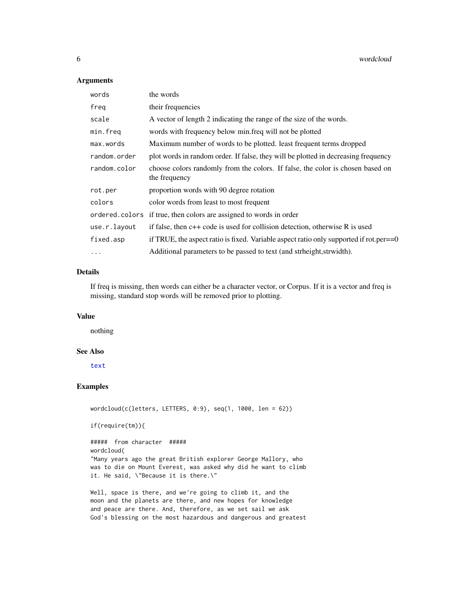#### Arguments

| words        | the words                                                                                       |
|--------------|-------------------------------------------------------------------------------------------------|
| freg         | their frequencies                                                                               |
| scale        | A vector of length 2 indicating the range of the size of the words.                             |
| min.freq     | words with frequency below min. freq will not be plotted                                        |
| max.words    | Maximum number of words to be plotted. least frequent terms dropped                             |
| random.order | plot words in random order. If false, they will be plotted in decreasing frequency              |
| random.color | choose colors randomly from the colors. If false, the color is chosen based on<br>the frequency |
| rot.per      | proportion words with 90 degree rotation                                                        |
| colors       | color words from least to most frequent                                                         |
|              | ordered.colors if true, then colors are assigned to words in order                              |
| use.r.layout | if false, then $c++$ code is used for collision detection, otherwise R is used                  |
| fixed.asp    | if TRUE, the aspect ratio is fixed. Variable aspect ratio only supported if rot. $per = 0$      |
| $\cdots$     | Additional parameters to be passed to text (and strheight, strwidth).                           |

#### Details

If freq is missing, then words can either be a character vector, or Corpus. If it is a vector and freq is missing, standard stop words will be removed prior to plotting.

#### Value

nothing

#### See Also

[text](#page-0-0)

#### Examples

```
wordcloud(c(letters, LETTERS, 0:9), seq(1, 1000, len = 62))
```
if(require(tm)){

##### from character ##### wordcloud( "Many years ago the great British explorer George Mallory, who was to die on Mount Everest, was asked why did he want to climb it. He said, \"Because it is there.\"

Well, space is there, and we're going to climb it, and the moon and the planets are there, and new hopes for knowledge and peace are there. And, therefore, as we set sail we ask God's blessing on the most hazardous and dangerous and greatest

<span id="page-5-0"></span>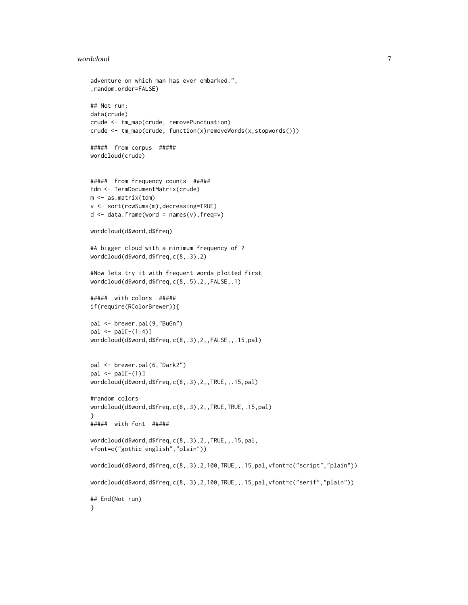#### wordcloud **7**

```
adventure on which man has ever embarked.",
,random.order=FALSE)
## Not run:
data(crude)
crude <- tm_map(crude, removePunctuation)
crude <- tm_map(crude, function(x)removeWords(x,stopwords()))
##### from corpus #####
wordcloud(crude)
##### from frequency counts #####
tdm <- TermDocumentMatrix(crude)
m <- as.matrix(tdm)
v <- sort(rowSums(m),decreasing=TRUE)
d \le - data.frame(word = names(v),freq=v)
wordcloud(d$word,d$freq)
#A bigger cloud with a minimum frequency of 2
wordcloud(d$word,d$freq,c(8,.3),2)
#Now lets try it with frequent words plotted first
wordcloud(d$word,d$freq,c(8,.5),2,,FALSE,.1)
##### with colors #####
if(require(RColorBrewer)){
pal <- brewer.pal(9,"BuGn")
pal < - pal[-(1:4)]wordcloud(d$word,d$freq,c(8,.3),2,,FALSE,,.15,pal)
pal <- brewer.pal(6,"Dark2")
pal <- pal[-(1)]
wordcloud(d$word,d$freq,c(8,.3),2,,TRUE,,.15,pal)
#random colors
wordcloud(d$word,d$freq,c(8,.3),2,,TRUE,TRUE,.15,pal)
}
##### with font #####
wordcloud(d$word,d$freq,c(8,.3),2,,TRUE,,.15,pal,
vfont=c("gothic english","plain"))
wordcloud(d$word,d$freq,c(8,.3),2,100,TRUE,,.15,pal,vfont=c("script","plain"))
wordcloud(d$word,d$freq,c(8,.3),2,100,TRUE,,.15,pal,vfont=c("serif","plain"))
## End(Not run)
}
```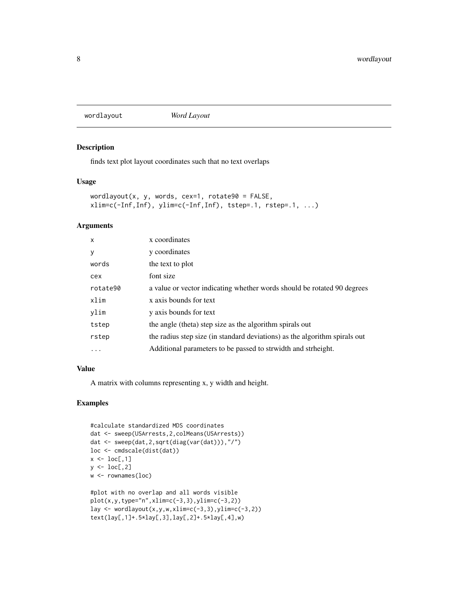<span id="page-7-0"></span>wordlayout *Word Layout*

#### Description

finds text plot layout coordinates such that no text overlaps

#### Usage

```
wordlayout(x, y, words, cex=1, rotate90 = FALSE,
xlim=c(-Inf,Inf), ylim=c(-Inf,Inf), tstep=.1, rstep=.1, ...)
```
#### Arguments

| $\mathsf{x}$ | x coordinates                                                              |
|--------------|----------------------------------------------------------------------------|
| У            | y coordinates                                                              |
| words        | the text to plot                                                           |
| cex          | font size                                                                  |
| rotate90     | a value or vector indicating whether words should be rotated 90 degrees    |
| xlim         | x axis bounds for text                                                     |
| ylim         | y axis bounds for text                                                     |
| tstep        | the angle (theta) step size as the algorithm spirals out                   |
| rstep        | the radius step size (in standard deviations) as the algorithm spirals out |
| $\cdots$     | Additional parameters to be passed to strwidth and strheight.              |

#### Value

A matrix with columns representing x, y width and height.

#### Examples

```
#calculate standardized MDS coordinates
dat <- sweep(USArrests,2,colMeans(USArrests))
dat <- sweep(dat,2,sqrt(diag(var(dat))),"/")
loc <- cmdscale(dist(dat))
x \leftarrow \text{loc}[, 1]y \leftarrow \text{loc}[, 2]w <- rownames(loc)
#plot with no overlap and all words visible
plot(x,y,type="n",xlim=c(-3,3),ylim=c(-3,2))
```

```
lay \le wordlayout(x, y, w, xlim=c(-3,3), ylim=c(-3,2))
text(lay[,1]+.5*lay[,3],lay[,2]+.5*lay[,4],w)
```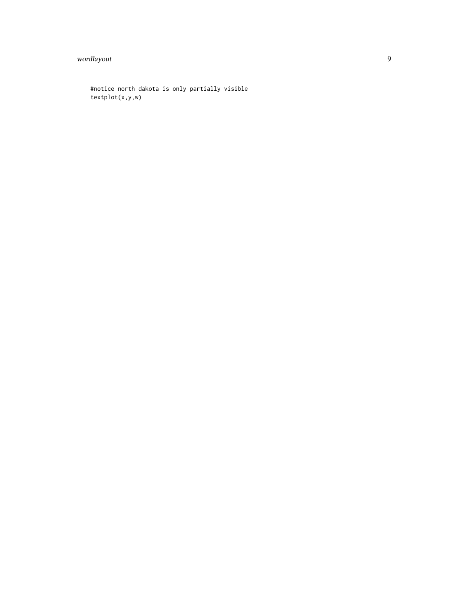### wordlayout 9

#notice north dakota is only partially visible textplot(x,y,w)